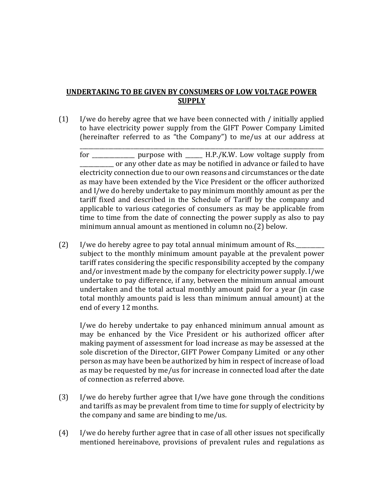## UNDERTAKING TO BE GIVEN BY CONSUMERS OF LOW VOLTAGE POWER **SUPPLY**

(1) I/we do hereby agree that we have been connected with / initially applied to have electricity power supply from the GIFT Power Company Limited (hereinafter referred to as "the Company") to me/us at our address at

for \_\_\_\_\_\_\_\_\_\_\_\_\_\_\_ purpose with \_\_\_\_\_\_ H.P./K.W. Low voltage supply from or any other date as may be notified in advance or failed to have electricity connection due to our own reasons and circumstances or the date as may have been extended by the Vice President or the officer authorized and I/we do hereby undertake to pay minimum monthly amount as per the tariff fixed and described in the Schedule of Tariff by the company and applicable to various categories of consumers as may be applicable from time to time from the date of connecting the power supply as also to pay minimum annual amount as mentioned in column no.(2) below.

\_\_\_\_\_\_\_\_\_\_\_\_\_\_\_\_\_\_\_\_\_\_\_\_\_\_\_\_\_\_\_\_\_\_\_\_\_\_\_\_\_\_\_\_\_\_\_\_\_\_\_\_\_\_\_\_\_\_\_\_\_\_\_\_\_\_\_\_\_\_\_\_\_\_\_\_\_\_\_\_\_\_\_\_\_\_

 $(2)$  I/we do hereby agree to pay total annual minimum amount of Rs. subject to the monthly minimum amount payable at the prevalent power tariff rates considering the specific responsibility accepted by the company and/or investment made by the company for electricity power supply. I/we undertake to pay difference, if any, between the minimum annual amount undertaken and the total actual monthly amount paid for a year (in case total monthly amounts paid is less than minimum annual amount) at the end of every 12 months.

I/we do hereby undertake to pay enhanced minimum annual amount as may be enhanced by the Vice President or his authorized officer after making payment of assessment for load increase as may be assessed at the sole discretion of the Director, GIFT Power Company Limited or any other person as may have been be authorized by him in respect of increase of load as may be requested by me/us for increase in connected load after the date of connection as referred above.

- (3) I/we do hereby further agree that I/we have gone through the conditions and tariffs as may be prevalent from time to time for supply of electricity by the company and same are binding to me/us.
- (4) I/we do hereby further agree that in case of all other issues not specifically mentioned hereinabove, provisions of prevalent rules and regulations as